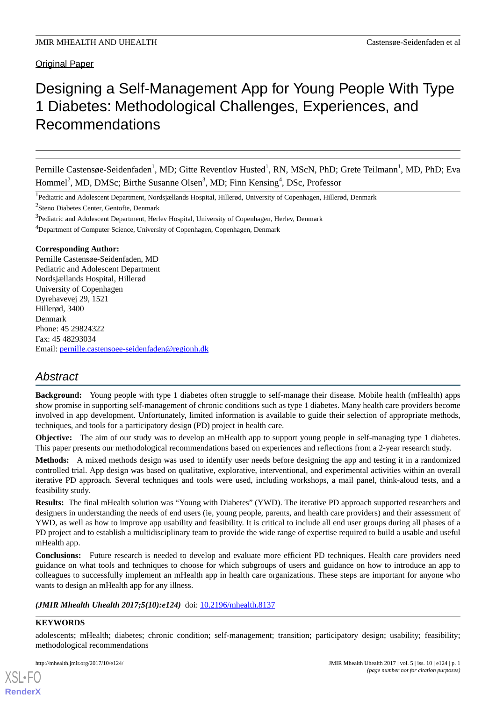# Original Paper

# Designing a Self-Management App for Young People With Type 1 Diabetes: Methodological Challenges, Experiences, and Recommendations

Pernille Castensøe-Seidenfaden<sup>1</sup>, MD; Gitte Reventlov Husted<sup>1</sup>, RN, MScN, PhD; Grete Teilmann<sup>1</sup>, MD, PhD; Eva Hommel<sup>2</sup>, MD, DMSc; Birthe Susanne Olsen<sup>3</sup>, MD; Finn Kensing<sup>4</sup>, DSc, Professor

<sup>1</sup> Pediatric and Adolescent Department, Nordsjællands Hospital, Hillerød, University of Copenhagen, Hillerød, Denmark

<sup>2</sup>Steno Diabetes Center, Gentofte, Denmark

<sup>3</sup>Pediatric and Adolescent Department, Herlev Hospital, University of Copenhagen, Herlev, Denmark

<sup>4</sup>Department of Computer Science, University of Copenhagen, Copenhagen, Denmark

#### **Corresponding Author:**

Pernille Castensøe-Seidenfaden, MD Pediatric and Adolescent Department Nordsjællands Hospital, Hillerød University of Copenhagen Dyrehavevej 29, 1521 Hillerød, 3400 Denmark Phone: 45 29824322 Fax: 45 48293034 Email: [pernille.castensoee-seidenfaden@regionh.dk](mailto:pernille.castensoee-seidenfaden@regionh.dk)

# *Abstract*

**Background:** Young people with type 1 diabetes often struggle to self-manage their disease. Mobile health (mHealth) apps show promise in supporting self-management of chronic conditions such as type 1 diabetes. Many health care providers become involved in app development. Unfortunately, limited information is available to guide their selection of appropriate methods, techniques, and tools for a participatory design (PD) project in health care.

**Objective:** The aim of our study was to develop an mHealth app to support young people in self-managing type 1 diabetes. This paper presents our methodological recommendations based on experiences and reflections from a 2-year research study.

**Methods:** A mixed methods design was used to identify user needs before designing the app and testing it in a randomized controlled trial. App design was based on qualitative, explorative, interventional, and experimental activities within an overall iterative PD approach. Several techniques and tools were used, including workshops, a mail panel, think-aloud tests, and a feasibility study.

**Results:** The final mHealth solution was "Young with Diabetes" (YWD). The iterative PD approach supported researchers and designers in understanding the needs of end users (ie, young people, parents, and health care providers) and their assessment of YWD, as well as how to improve app usability and feasibility. It is critical to include all end user groups during all phases of a PD project and to establish a multidisciplinary team to provide the wide range of expertise required to build a usable and useful mHealth app.

**Conclusions:** Future research is needed to develop and evaluate more efficient PD techniques. Health care providers need guidance on what tools and techniques to choose for which subgroups of users and guidance on how to introduce an app to colleagues to successfully implement an mHealth app in health care organizations. These steps are important for anyone who wants to design an mHealth app for any illness.

*(JMIR Mhealth Uhealth 2017;5(10):e124)* doi: [10.2196/mhealth.8137](http://dx.doi.org/10.2196/mhealth.8137)

#### **KEYWORDS**

[XSL](http://www.w3.org/Style/XSL)•FO **[RenderX](http://www.renderx.com/)**

adolescents; mHealth; diabetes; chronic condition; self-management; transition; participatory design; usability; feasibility; methodological recommendations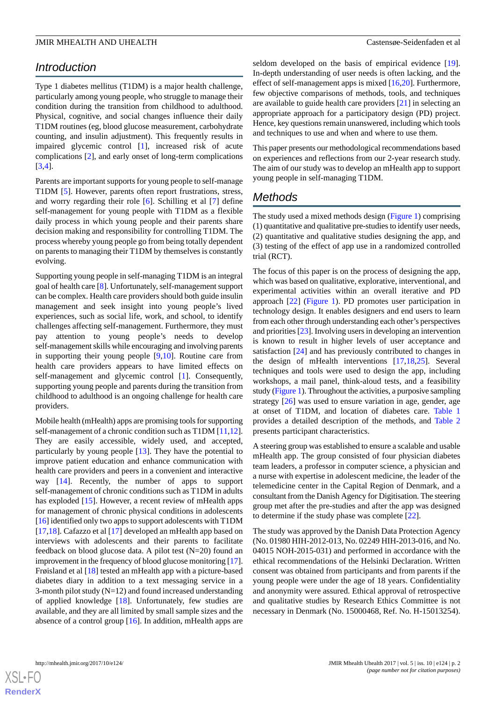# *Introduction*

Type 1 diabetes mellitus (T1DM) is a major health challenge, particularly among young people, who struggle to manage their condition during the transition from childhood to adulthood. Physical, cognitive, and social changes influence their daily T1DM routines (eg, blood glucose measurement, carbohydrate counting, and insulin adjustment). This frequently results in impaired glycemic control [[1\]](#page-11-0), increased risk of acute complications [[2\]](#page-11-1), and early onset of long-term complications [[3](#page-11-2)[,4](#page-11-3)].

Parents are important supports for young people to self-manage T1DM [\[5](#page-11-4)]. However, parents often report frustrations, stress, and worry regarding their role [[6\]](#page-11-5). Schilling et al [[7\]](#page-11-6) define self-management for young people with T1DM as a flexible daily process in which young people and their parents share decision making and responsibility for controlling T1DM. The process whereby young people go from being totally dependent on parents to managing their T1DM by themselves is constantly evolving.

Supporting young people in self-managing T1DM is an integral goal of health care [[8\]](#page-11-7). Unfortunately, self-management support can be complex. Health care providers should both guide insulin management and seek insight into young people's lived experiences, such as social life, work, and school, to identify challenges affecting self-management. Furthermore, they must pay attention to young people's needs to develop self-management skills while encouraging and involving parents in supporting their young people [[9,](#page-11-8)[10](#page-11-9)]. Routine care from health care providers appears to have limited effects on self-management and glycemic control [[1\]](#page-11-0). Consequently, supporting young people and parents during the transition from childhood to adulthood is an ongoing challenge for health care providers.

Mobile health (mHealth) apps are promising tools for supporting self-management of a chronic condition such as T1DM [[11](#page-11-10),[12\]](#page-12-0). They are easily accessible, widely used, and accepted, particularly by young people [\[13](#page-12-1)]. They have the potential to improve patient education and enhance communication with health care providers and peers in a convenient and interactive way [\[14](#page-12-2)]. Recently, the number of apps to support self-management of chronic conditions such as T1DM in adults has exploded [\[15](#page-12-3)]. However, a recent review of mHealth apps for management of chronic physical conditions in adolescents [[16\]](#page-12-4) identified only two apps to support adolescents with T1DM [[17](#page-12-5)[,18](#page-12-6)]. Cafazzo et al [\[17](#page-12-5)] developed an mHealth app based on interviews with adolescents and their parents to facilitate feedback on blood glucose data. A pilot test (N=20) found an improvement in the frequency of blood glucose monitoring [\[17\]](#page-12-5). Frøisland et al [[18\]](#page-12-6) tested an mHealth app with a picture-based diabetes diary in addition to a text messaging service in a 3-month pilot study  $(N=12)$  and found increased understanding of applied knowledge [[18\]](#page-12-6). Unfortunately, few studies are available, and they are all limited by small sample sizes and the absence of a control group [[16\]](#page-12-4). In addition, mHealth apps are

seldom developed on the basis of empirical evidence [[19\]](#page-12-7). In-depth understanding of user needs is often lacking, and the effect of self-management apps is mixed [[16,](#page-12-4)[20](#page-12-8)]. Furthermore, few objective comparisons of methods, tools, and techniques are available to guide health care providers [[21\]](#page-12-9) in selecting an appropriate approach for a participatory design (PD) project. Hence, key questions remain unanswered, including which tools and techniques to use and when and where to use them.

This paper presents our methodological recommendations based on experiences and reflections from our 2-year research study. The aim of our study was to develop an mHealth app to support young people in self-managing T1DM.

# *Methods*

The study used a mixed methods design [\(Figure 1](#page-2-0)) comprising (1) quantitative and qualitative pre-studies to identify user needs, (2) quantitative and qualitative studies designing the app, and (3) testing of the effect of app use in a randomized controlled trial (RCT).

The focus of this paper is on the process of designing the app, which was based on qualitative, explorative, interventional, and experimental activities within an overall iterative and PD approach [\[22](#page-12-10)] ([Figure 1\)](#page-2-0). PD promotes user participation in technology design. It enables designers and end users to learn from each other through understanding each other's perspectives and priorities [\[23](#page-12-11)]. Involving users in developing an intervention is known to result in higher levels of user acceptance and satisfaction [\[24](#page-12-12)] and has previously contributed to changes in the design of mHealth interventions [\[17](#page-12-5),[18](#page-12-6)[,25](#page-12-13)]. Several techniques and tools were used to design the app, including workshops, a mail panel, think-aloud tests, and a feasibility study [\(Figure 1](#page-2-0)). Throughout the activities, a purposive sampling strategy [[26\]](#page-12-14) was used to ensure variation in age, gender, age at onset of T1DM, and location of diabetes care. [Table 1](#page-2-1) provides a detailed description of the methods, and [Table 2](#page-3-0) presents participant characteristics.

A steering group was established to ensure a scalable and usable mHealth app. The group consisted of four physician diabetes team leaders, a professor in computer science, a physician and a nurse with expertise in adolescent medicine, the leader of the telemedicine center in the Capital Region of Denmark, and a consultant from the Danish Agency for Digitisation. The steering group met after the pre-studies and after the app was designed to determine if the study phase was complete [[22\]](#page-12-10).

The study was approved by the Danish Data Protection Agency (No. 01980 HIH-2012-013, No. 02249 HIH-2013-016, and No. 04015 NOH-2015-031) and performed in accordance with the ethical recommendations of the Helsinki Declaration. Written consent was obtained from participants and from parents if the young people were under the age of 18 years. Confidentiality and anonymity were assured. Ethical approval of retrospective and qualitative studies by Research Ethics Committee is not necessary in Denmark (No. 15000468, Ref. No. H-15013254).

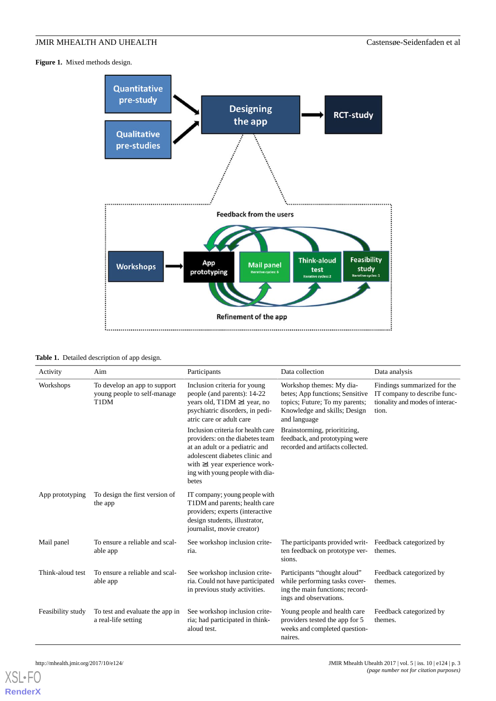<span id="page-2-0"></span>**Figure 1.** Mixed methods design.



<span id="page-2-1"></span>

| Table 1. Detailed description of app design. |  |  |  |  |  |
|----------------------------------------------|--|--|--|--|--|
|----------------------------------------------|--|--|--|--|--|

| Activity          | Aim                                                                 | Participants                                                                                                                                                                                                                 | Data collection                                                                                                                               | Data analysis                                                                                           |
|-------------------|---------------------------------------------------------------------|------------------------------------------------------------------------------------------------------------------------------------------------------------------------------------------------------------------------------|-----------------------------------------------------------------------------------------------------------------------------------------------|---------------------------------------------------------------------------------------------------------|
| Workshops         | To develop an app to support<br>young people to self-manage<br>T1DM | Inclusion criteria for young<br>people (and parents): 14-22<br>years old, T1DM ≥1 year, no<br>psychiatric disorders, in pedi-<br>atric care or adult care                                                                    | Workshop themes: My dia-<br>betes; App functions; Sensitive<br>topics; Future; To my parents;<br>Knowledge and skills; Design<br>and language | Findings summarized for the<br>IT company to describe func-<br>tionality and modes of interac-<br>tion. |
|                   |                                                                     | Inclusion criteria for health care<br>providers: on the diabetes team<br>at an adult or a pediatric and<br>adolescent diabetes clinic and<br>with $\geq 1$ year experience work-<br>ing with young people with dia-<br>betes | Brainstorming, prioritizing,<br>feedback, and prototyping were<br>recorded and artifacts collected.                                           |                                                                                                         |
| App prototyping   | To design the first version of<br>the app                           | IT company; young people with<br>T1DM and parents; health care<br>providers; experts (interactive<br>design students, illustrator,<br>journalist, movie creator)                                                             |                                                                                                                                               |                                                                                                         |
| Mail panel        | To ensure a reliable and scal-<br>able app                          | See workshop inclusion crite-<br>ria.                                                                                                                                                                                        | The participants provided writ-<br>ten feedback on prototype ver-<br>sions.                                                                   | Feedback categorized by<br>themes.                                                                      |
| Think-aloud test  | To ensure a reliable and scal-<br>able app                          | See workshop inclusion crite-<br>ria. Could not have participated<br>in previous study activities.                                                                                                                           | Participants "thought aloud"<br>while performing tasks cover-<br>ing the main functions; record-<br>ings and observations.                    | Feedback categorized by<br>themes.                                                                      |
| Feasibility study | To test and evaluate the app in<br>a real-life setting              | See workshop inclusion crite-<br>ria; had participated in think-<br>aloud test.                                                                                                                                              | Young people and health care<br>providers tested the app for 5<br>weeks and completed question-<br>naires.                                    | Feedback categorized by<br>themes.                                                                      |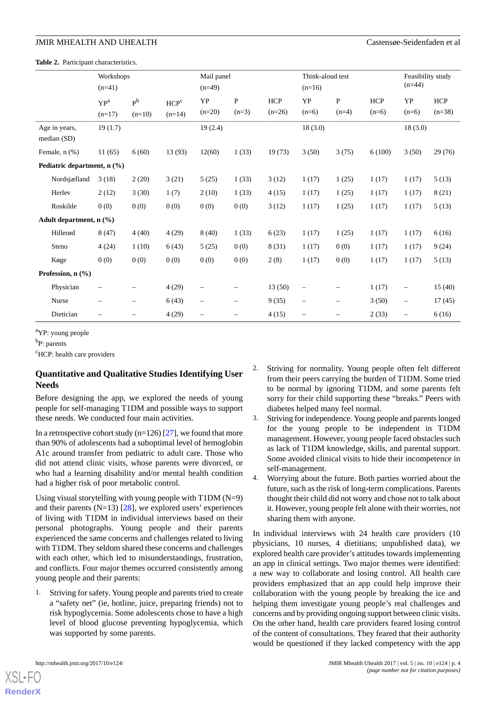<span id="page-3-0"></span>**Table 2.** Participant characteristics.

|                                | Workshops<br>$(n=41)$    |                            |                              | Mail panel<br>$(n=49)$   |                          |                 | Think-aloud test<br>$(n=16)$ |                   |                | Feasibility study<br>$(n=44)$ |                 |
|--------------------------------|--------------------------|----------------------------|------------------------------|--------------------------|--------------------------|-----------------|------------------------------|-------------------|----------------|-------------------------------|-----------------|
|                                | $YP^a$<br>$(n=17)$       | P <sub>b</sub><br>$(n=10)$ | HCP <sup>c</sup><br>$(n=14)$ | YP<br>$(n=20)$           | P<br>$(n=3)$             | HCP<br>$(n=26)$ | YP<br>$(n=6)$                | P<br>$(n=4)$      | HCP<br>$(n=6)$ | YP<br>$(n=6)$                 | HCP<br>$(n=38)$ |
| Age in years,<br>median $(SD)$ | 19(1.7)                  |                            |                              | 19(2.4)                  |                          |                 | 18(3.0)                      |                   |                | 18(3.0)                       |                 |
| Female, n (%)                  | 11(65)                   | 6(60)                      | 13 (93)                      | 12(60)                   | 1(33)                    | 19(73)          | 3(50)                        | 3(75)             | 6(100)         | 3(50)                         | 29 (76)         |
| Pediatric department, n (%)    |                          |                            |                              |                          |                          |                 |                              |                   |                |                               |                 |
| Nordsjælland                   | 3(18)                    | 2(20)                      | 3(21)                        | 5(25)                    | 1(33)                    | 3(12)           | 1(17)                        | 1(25)             | 1(17)          | 1(17)                         | 5(13)           |
| Herley                         | 2(12)                    | 3(30)                      | 1(7)                         | 2(10)                    | 1(33)                    | 4(15)           | 1(17)                        | 1(25)             | 1(17)          | 1(17)                         | 8(21)           |
| Roskilde                       | 0(0)                     | 0(0)                       | 0(0)                         | 0(0)                     | 0(0)                     | 3(12)           | 1(17)                        | 1(25)             | 1(17)          | 1(17)                         | 5(13)           |
| Adult department, n (%)        |                          |                            |                              |                          |                          |                 |                              |                   |                |                               |                 |
| Hillerød                       | 8(47)                    | 4(40)                      | 4(29)                        | 8(40)                    | 1(33)                    | 6(23)           | 1(17)                        | 1(25)             | 1(17)          | 1(17)                         | 6(16)           |
| Steno                          | 4(24)                    | 1(10)                      | 6(43)                        | 5(25)                    | 0(0)                     | 8(31)           | 1(17)                        | 0(0)              | 1(17)          | 1(17)                         | 9(24)           |
| Køge                           | 0(0)                     | 0(0)                       | 0(0)                         | 0(0)                     | 0(0)                     | 2(8)            | 1(17)                        | 0(0)              | 1(17)          | 1(17)                         | 5(13)           |
| Profession, n (%)              |                          |                            |                              |                          |                          |                 |                              |                   |                |                               |                 |
| Physician                      |                          |                            | 4(29)                        | $\overline{\phantom{0}}$ |                          | 13(50)          | $\overline{\phantom{0}}$     |                   | 1(17)          | $\qquad \qquad -$             | 15(40)          |
| Nurse                          | $\overline{\phantom{0}}$ | -                          | 6(43)                        | $\overline{\phantom{0}}$ | $\overline{\phantom{0}}$ | 9(35)           | $\overline{\phantom{0}}$     | $\qquad \qquad -$ | 3(50)          | $\qquad \qquad -$             | 17(45)          |
| Dietician                      |                          |                            | 4(29)                        | $\overline{\phantom{0}}$ |                          | 4(15)           | $\overline{\phantom{0}}$     |                   | 2(33)          | $\qquad \qquad -$             | 6(16)           |

<sup>a</sup>YP: young people

<sup>b</sup>P: parents

<sup>c</sup>HCP: health care providers

# **Quantitative and Qualitative Studies Identifying User Needs**

Before designing the app, we explored the needs of young people for self-managing T1DM and possible ways to support these needs. We conducted four main activities.

In a retrospective cohort study ( $n=126$ ) [[27\]](#page-12-15), we found that more than 90% of adolescents had a suboptimal level of hemoglobin A1c around transfer from pediatric to adult care. Those who did not attend clinic visits, whose parents were divorced, or who had a learning disability and/or mental health condition had a higher risk of poor metabolic control.

Using visual storytelling with young people with T1DM (N=9) and their parents  $(N=13)$  [\[28](#page-12-16)], we explored users' experiences of living with T1DM in individual interviews based on their personal photographs. Young people and their parents experienced the same concerns and challenges related to living with T1DM. They seldom shared these concerns and challenges with each other, which led to misunderstandings, frustration, and conflicts. Four major themes occurred consistently among young people and their parents:

1. Striving for safety. Young people and parents tried to create a "safety net" (ie, hotline, juice, preparing friends) not to risk hypoglycemia. Some adolescents chose to have a high level of blood glucose preventing hypoglycemia, which was supported by some parents.

- 2. Striving for normality. Young people often felt different from their peers carrying the burden of T1DM. Some tried to be normal by ignoring T1DM, and some parents felt sorry for their child supporting these "breaks." Peers with diabetes helped many feel normal.
- 3. Striving for independence. Young people and parents longed for the young people to be independent in T1DM management. However, young people faced obstacles such as lack of T1DM knowledge, skills, and parental support. Some avoided clinical visits to hide their incompetence in self-management.
- 4. Worrying about the future. Both parties worried about the future, such as the risk of long-term complications. Parents thought their child did not worry and chose not to talk about it. However, young people felt alone with their worries, not sharing them with anyone.

In individual interviews with 24 health care providers (10 physicians, 10 nurses, 4 dietitians; unpublished data), we explored health care provider's attitudes towards implementing an app in clinical settings. Two major themes were identified: a new way to collaborate and losing control. All health care providers emphasized that an app could help improve their collaboration with the young people by breaking the ice and helping them investigate young people's real challenges and concerns and by providing ongoing support between clinic visits. On the other hand, health care providers feared losing control of the content of consultations. They feared that their authority would be questioned if they lacked competency with the app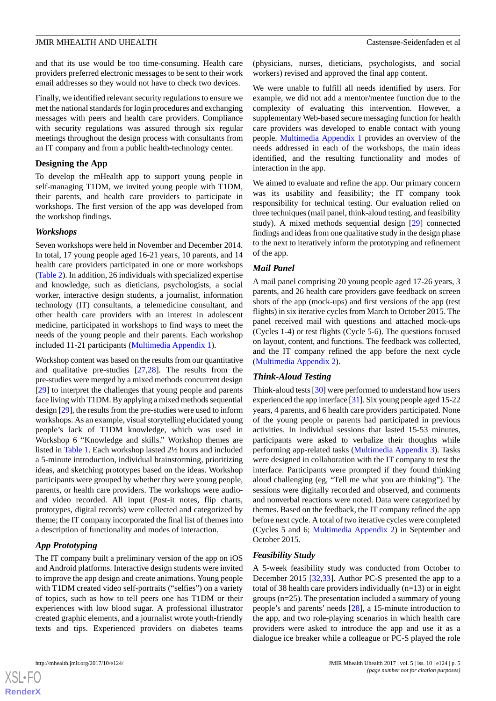and that its use would be too time-consuming. Health care providers preferred electronic messages to be sent to their work email addresses so they would not have to check two devices.

Finally, we identified relevant security regulations to ensure we met the national standards for login procedures and exchanging messages with peers and health care providers. Compliance with security regulations was assured through six regular meetings throughout the design process with consultants from an IT company and from a public health-technology center.

# **Designing the App**

To develop the mHealth app to support young people in self-managing T1DM, we invited young people with T1DM, their parents, and health care providers to participate in workshops. The first version of the app was developed from the workshop findings.

# *Workshops*

Seven workshops were held in November and December 2014. In total, 17 young people aged 16-21 years, 10 parents, and 14 health care providers participated in one or more workshops ([Table 2\)](#page-3-0). In addition, 26 individuals with specialized expertise and knowledge, such as dieticians, psychologists, a social worker, interactive design students, a journalist, information technology (IT) consultants, a telemedicine consultant, and other health care providers with an interest in adolescent medicine, participated in workshops to find ways to meet the needs of the young people and their parents. Each workshop included 11-21 participants ([Multimedia Appendix 1\)](#page-11-11).

Workshop content was based on the results from our quantitative and qualitative pre-studies [[27](#page-12-15)[,28](#page-12-16)]. The results from the pre-studies were merged by a mixed methods concurrent design [[29\]](#page-12-17) to interpret the challenges that young people and parents face living with T1DM. By applying a mixed methods sequential design [[29\]](#page-12-17), the results from the pre-studies were used to inform workshops. As an example, visual storytelling elucidated young people's lack of T1DM knowledge, which was used in Workshop 6 "Knowledge and skills." Workshop themes are listed in [Table 1](#page-2-1). Each workshop lasted 2½ hours and included a 5-minute introduction, individual brainstorming, prioritizing ideas, and sketching prototypes based on the ideas. Workshop participants were grouped by whether they were young people, parents, or health care providers. The workshops were audioand video recorded. All input (Post-it notes, flip charts, prototypes, digital records) were collected and categorized by theme; the IT company incorporated the final list of themes into a description of functionality and modes of interaction.

# *App Prototyping*

The IT company built a preliminary version of the app on iOS and Android platforms. Interactive design students were invited to improve the app design and create animations. Young people with T1DM created video self-portraits ("selfies") on a variety of topics, such as how to tell peers one has T1DM or their experiences with low blood sugar. A professional illustrator created graphic elements, and a journalist wrote youth-friendly texts and tips. Experienced providers on diabetes teams

 $XS$  $\cdot$ FC **[RenderX](http://www.renderx.com/)** (physicians, nurses, dieticians, psychologists, and social workers) revised and approved the final app content.

We were unable to fulfill all needs identified by users. For example, we did not add a mentor/mentee function due to the complexity of evaluating this intervention. However, a supplementary Web-based secure messaging function for health care providers was developed to enable contact with young people. [Multimedia Appendix 1](#page-11-11) provides an overview of the needs addressed in each of the workshops, the main ideas identified, and the resulting functionality and modes of interaction in the app.

We aimed to evaluate and refine the app. Our primary concern was its usability and feasibility; the IT company took responsibility for technical testing. Our evaluation relied on three techniques (mail panel, think-aloud testing, and feasibility study). A mixed methods sequential design [\[29](#page-12-17)] connected findings and ideas from one qualitative study in the design phase to the next to iteratively inform the prototyping and refinement of the app.

# *Mail Panel*

A mail panel comprising 20 young people aged 17-26 years, 3 parents, and 26 health care providers gave feedback on screen shots of the app (mock-ups) and first versions of the app (test flights) in six iterative cycles from March to October 2015. The panel received mail with questions and attached mock-ups (Cycles 1-4) or test flights (Cycle 5-6). The questions focused on layout, content, and functions. The feedback was collected, and the IT company refined the app before the next cycle ([Multimedia Appendix 2](#page-11-12)).

# *Think-Aloud Testing*

Think-aloud tests [[30\]](#page-12-18) were performed to understand how users experienced the app interface [\[31](#page-12-19)]. Six young people aged 15-22 years, 4 parents, and 6 health care providers participated. None of the young people or parents had participated in previous activities. In individual sessions that lasted 15-53 minutes, participants were asked to verbalize their thoughts while performing app-related tasks [\(Multimedia Appendix 3\)](#page-11-13). Tasks were designed in collaboration with the IT company to test the interface. Participants were prompted if they found thinking aloud challenging (eg, "Tell me what you are thinking"). The sessions were digitally recorded and observed, and comments and nonverbal reactions were noted. Data were categorized by themes. Based on the feedback, the IT company refined the app before next cycle. A total of two iterative cycles were completed (Cycles 5 and 6; [Multimedia Appendix 2\)](#page-11-12) in September and October 2015.

# *Feasibility Study*

A 5-week feasibility study was conducted from October to December 2015 [[32,](#page-12-20)[33](#page-12-21)]. Author PC-S presented the app to a total of 38 health care providers individually  $(n=13)$  or in eight groups (n=25). The presentation included a summary of young people's and parents' needs [[28\]](#page-12-16), a 15-minute introduction to the app, and two role-playing scenarios in which health care providers were asked to introduce the app and use it as a dialogue ice breaker while a colleague or PC-S played the role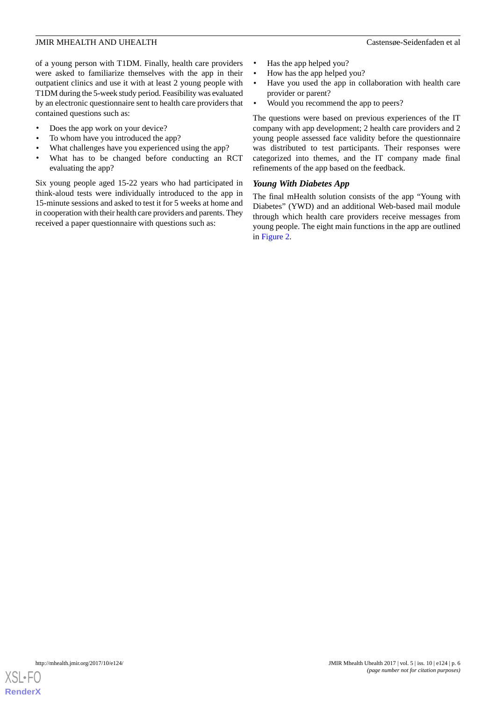of a young person with T1DM. Finally, health care providers were asked to familiarize themselves with the app in their outpatient clinics and use it with at least 2 young people with T1DM during the 5-week study period. Feasibility was evaluated by an electronic questionnaire sent to health care providers that contained questions such as:

- Does the app work on your device?
- To whom have you introduced the app?
- What challenges have you experienced using the app?
- What has to be changed before conducting an RCT evaluating the app?

Six young people aged 15-22 years who had participated in think-aloud tests were individually introduced to the app in 15-minute sessions and asked to test it for 5 weeks at home and in cooperation with their health care providers and parents. They received a paper questionnaire with questions such as:

- Has the app helped you?
- How has the app helped you?
- Have you used the app in collaboration with health care provider or parent?
- Would you recommend the app to peers?

The questions were based on previous experiences of the IT company with app development; 2 health care providers and 2 young people assessed face validity before the questionnaire was distributed to test participants. Their responses were categorized into themes, and the IT company made final refinements of the app based on the feedback.

# *Young With Diabetes App*

The final mHealth solution consists of the app "Young with Diabetes" (YWD) and an additional Web-based mail module through which health care providers receive messages from young people. The eight main functions in the app are outlined in [Figure 2.](#page-6-0)

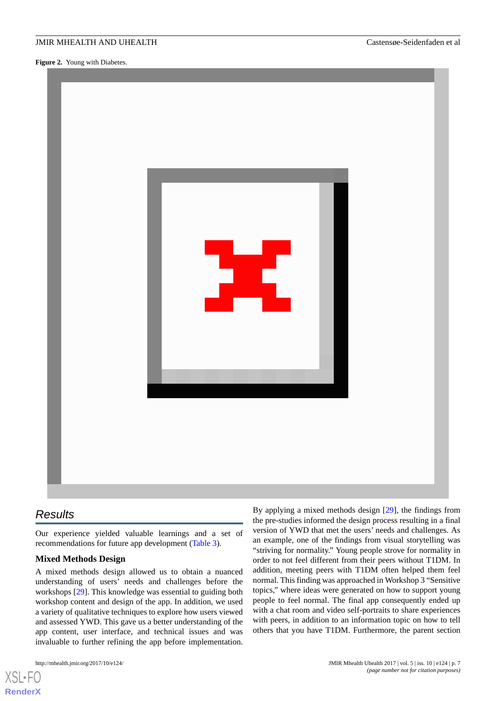<span id="page-6-0"></span>**Figure 2.** Young with Diabetes.



# *Results*

Our experience yielded valuable learnings and a set of recommendations for future app development ([Table 3](#page-8-0)).

# **Mixed Methods Design**

A mixed methods design allowed us to obtain a nuanced understanding of users' needs and challenges before the workshops [[29\]](#page-12-17). This knowledge was essential to guiding both workshop content and design of the app. In addition, we used a variety of qualitative techniques to explore how users viewed and assessed YWD. This gave us a better understanding of the app content, user interface, and technical issues and was invaluable to further refining the app before implementation.

 $X$ SI • FO **[RenderX](http://www.renderx.com/)** By applying a mixed methods design [[29\]](#page-12-17), the findings from the pre-studies informed the design process resulting in a final version of YWD that met the users' needs and challenges. As an example, one of the findings from visual storytelling was "striving for normality." Young people strove for normality in order to not feel different from their peers without T1DM. In addition, meeting peers with T1DM often helped them feel normal. This finding was approached in Workshop 3 "Sensitive topics," where ideas were generated on how to support young people to feel normal. The final app consequently ended up with a chat room and video self-portraits to share experiences with peers, in addition to an information topic on how to tell others that you have T1DM. Furthermore, the parent section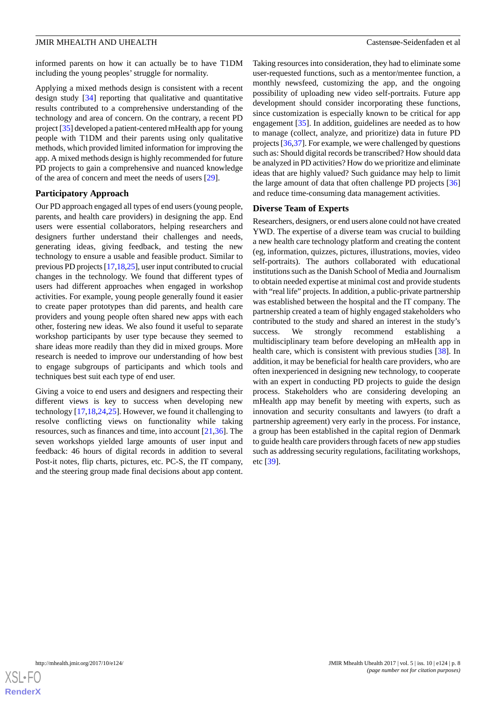informed parents on how it can actually be to have T1DM including the young peoples'struggle for normality.

Applying a mixed methods design is consistent with a recent design study [\[34](#page-12-22)] reporting that qualitative and quantitative results contributed to a comprehensive understanding of the technology and area of concern. On the contrary, a recent PD project [[35](#page-13-0)] developed a patient-centered mHealth app for young people with T1DM and their parents using only qualitative methods, which provided limited information for improving the app. A mixed methods design is highly recommended for future PD projects to gain a comprehensive and nuanced knowledge of the area of concern and meet the needs of users [\[29](#page-12-17)].

#### **Participatory Approach**

Our PD approach engaged all types of end users (young people, parents, and health care providers) in designing the app. End users were essential collaborators, helping researchers and designers further understand their challenges and needs, generating ideas, giving feedback, and testing the new technology to ensure a usable and feasible product. Similar to previous PD projects [\[17](#page-12-5)[,18](#page-12-6)[,25](#page-12-13)], user input contributed to crucial changes in the technology. We found that different types of users had different approaches when engaged in workshop activities. For example, young people generally found it easier to create paper prototypes than did parents, and health care providers and young people often shared new apps with each other, fostering new ideas. We also found it useful to separate workshop participants by user type because they seemed to share ideas more readily than they did in mixed groups. More research is needed to improve our understanding of how best to engage subgroups of participants and which tools and techniques best suit each type of end user.

Giving a voice to end users and designers and respecting their different views is key to success when developing new technology [\[17](#page-12-5),[18](#page-12-6)[,24](#page-12-12),[25\]](#page-12-13). However, we found it challenging to resolve conflicting views on functionality while taking resources, such as finances and time, into account [[21,](#page-12-9)[36\]](#page-13-1). The seven workshops yielded large amounts of user input and feedback: 46 hours of digital records in addition to several Post-it notes, flip charts, pictures, etc. PC-S, the IT company, and the steering group made final decisions about app content.

Taking resources into consideration, they had to eliminate some user-requested functions, such as a mentor/mentee function, a monthly newsfeed, customizing the app, and the ongoing possibility of uploading new video self-portraits. Future app development should consider incorporating these functions, since customization is especially known to be critical for app engagement [[35\]](#page-13-0). In addition, guidelines are needed as to how to manage (collect, analyze, and prioritize) data in future PD projects [\[36](#page-13-1),[37\]](#page-13-2). For example, we were challenged by questions such as: Should digital records be transcribed? How should data be analyzed in PD activities? How do we prioritize and eliminate ideas that are highly valued? Such guidance may help to limit the large amount of data that often challenge PD projects [\[36](#page-13-1)] and reduce time-consuming data management activities.

#### **Diverse Team of Experts**

Researchers, designers, or end users alone could not have created YWD. The expertise of a diverse team was crucial to building a new health care technology platform and creating the content (eg, information, quizzes, pictures, illustrations, movies, video self-portraits). The authors collaborated with educational institutions such as the Danish School of Media and Journalism to obtain needed expertise at minimal cost and provide students with "real life" projects. In addition, a public-private partnership was established between the hospital and the IT company. The partnership created a team of highly engaged stakeholders who contributed to the study and shared an interest in the study's success. We strongly recommend establishing multidisciplinary team before developing an mHealth app in health care, which is consistent with previous studies [[38\]](#page-13-3). In addition, it may be beneficial for health care providers, who are often inexperienced in designing new technology, to cooperate with an expert in conducting PD projects to guide the design process. Stakeholders who are considering developing an mHealth app may benefit by meeting with experts, such as innovation and security consultants and lawyers (to draft a partnership agreement) very early in the process. For instance, a group has been established in the capital region of Denmark to guide health care providers through facets of new app studies such as addressing security regulations, facilitating workshops, etc [\[39](#page-13-4)].

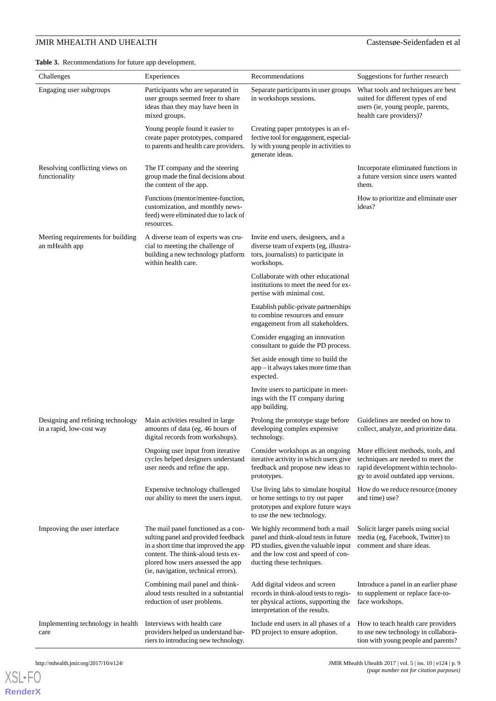<span id="page-8-0"></span>

| Challenges                                                    | Experiences                                                                                                                                                                                                                           | Recommendations                                                                                                                                                                     | Suggestions for further research                                                                                                                    |
|---------------------------------------------------------------|---------------------------------------------------------------------------------------------------------------------------------------------------------------------------------------------------------------------------------------|-------------------------------------------------------------------------------------------------------------------------------------------------------------------------------------|-----------------------------------------------------------------------------------------------------------------------------------------------------|
| Engaging user subgroups                                       | Participants who are separated in<br>user groups seemed freer to share<br>ideas than they may have been in<br>mixed groups.                                                                                                           | Separate participants in user groups<br>in workshops sessions.                                                                                                                      | What tools and techniques are best<br>suited for different types of end<br>users (ie, young people, parents,<br>health care providers)?             |
|                                                               | Young people found it easier to<br>create paper prototypes, compared<br>to parents and health care providers.                                                                                                                         | Creating paper prototypes is an ef-<br>fective tool for engagement, especial-<br>ly with young people in activities to<br>generate ideas.                                           |                                                                                                                                                     |
| Resolving conflicting views on<br>functionality               | The IT company and the steering<br>group made the final decisions about<br>the content of the app.                                                                                                                                    |                                                                                                                                                                                     | Incorporate eliminated functions in<br>a future version since users wanted<br>them.                                                                 |
|                                                               | Functions (mentor/mentee-function,<br>customization, and monthly news-<br>feed) were eliminated due to lack of<br>resources.                                                                                                          |                                                                                                                                                                                     | How to prioritize and eliminate user<br>ideas?                                                                                                      |
| Meeting requirements for building<br>an mHealth app           | A diverse team of experts was cru-<br>cial to meeting the challenge of<br>building a new technology platform<br>within health care.                                                                                                   | Invite end users, designers, and a<br>diverse team of experts (eg, illustra-<br>tors, journalists) to participate in<br>workshops.                                                  |                                                                                                                                                     |
|                                                               |                                                                                                                                                                                                                                       | Collaborate with other educational<br>institutions to meet the need for ex-<br>pertise with minimal cost.                                                                           |                                                                                                                                                     |
|                                                               |                                                                                                                                                                                                                                       | Establish public-private partnerships<br>to combine resources and ensure<br>engagement from all stakeholders.                                                                       |                                                                                                                                                     |
|                                                               |                                                                                                                                                                                                                                       | Consider engaging an innovation<br>consultant to guide the PD process.                                                                                                              |                                                                                                                                                     |
|                                                               |                                                                                                                                                                                                                                       | Set aside enough time to build the<br>$app - it$ always takes more time than<br>expected.                                                                                           |                                                                                                                                                     |
|                                                               |                                                                                                                                                                                                                                       | Invite users to participate in meet-<br>ings with the IT company during<br>app building.                                                                                            |                                                                                                                                                     |
| Designing and refining technology<br>in a rapid, low-cost way | Main activities resulted in large<br>amounts of data (eg, 46 hours of<br>digital records from workshops).                                                                                                                             | Prolong the prototype stage before<br>developing complex expensive<br>technology.                                                                                                   | Guidelines are needed on how to<br>collect, analyze, and prioritize data.                                                                           |
|                                                               | Ongoing user input from iterative<br>cycles helped designers understand<br>user needs and refine the app.                                                                                                                             | Consider workshops as an ongoing<br>iterative activity in which users give<br>feedback and propose new ideas to<br>prototypes.                                                      | More efficient methods, tools, and<br>techniques are needed to meet the<br>rapid development within technolo-<br>gy to avoid outdated app versions. |
|                                                               | Expensive technology challenged<br>our ability to meet the users input.                                                                                                                                                               | Use living labs to simulate hospital<br>or home settings to try out paper<br>prototypes and explore future ways<br>to use the new technology.                                       | How do we reduce resource (money<br>and time) use?                                                                                                  |
| Improving the user interface                                  | The mail panel functioned as a con-<br>sulting panel and provided feedback<br>in a short time that improved the app<br>content. The think-aloud tests ex-<br>plored how users assessed the app<br>(ie, navigation, technical errors). | We highly recommend both a mail<br>panel and think-aloud tests in future<br>PD studies, given the valuable input<br>and the low cost and speed of con-<br>ducting these techniques. | Solicit larger panels using social<br>media (eg, Facebook, Twitter) to<br>comment and share ideas.                                                  |
|                                                               | Combining mail panel and think-<br>aloud tests resulted in a substantial<br>reduction of user problems.                                                                                                                               | Add digital videos and screen<br>records in think-aloud tests to regis-<br>ter physical actions, supporting the<br>interpretation of the results.                                   | Introduce a panel in an earlier phase<br>to supplement or replace face-to-<br>face workshops.                                                       |
| Implementing technology in health<br>care                     | Interviews with health care<br>providers helped us understand bar-<br>riers to introducing new technology.                                                                                                                            | Include end users in all phases of a<br>PD project to ensure adoption.                                                                                                              | How to teach health care providers<br>to use new technology in collabora-<br>tion with young people and parents?                                    |



**[RenderX](http://www.renderx.com/)**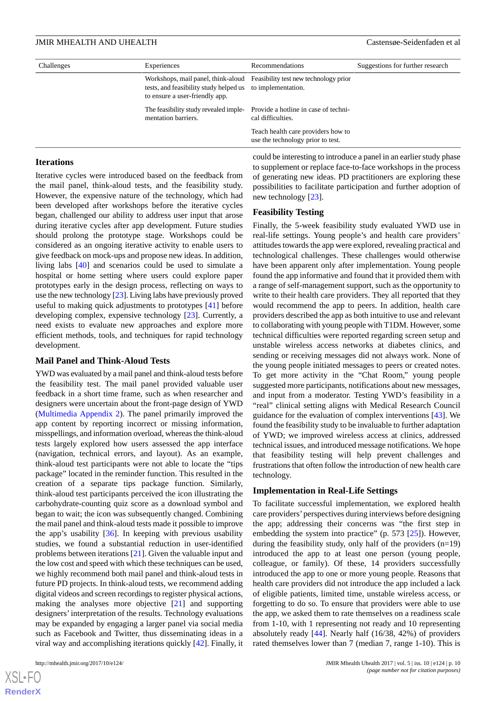| Challenges | Experiences                                                                                 |                                                                          | Suggestions for further research |  |  |
|------------|---------------------------------------------------------------------------------------------|--------------------------------------------------------------------------|----------------------------------|--|--|
|            | tests, and feasibility study helped us to implementation.<br>to ensure a user-friendly app. | Workshops, mail panel, think-aloud Feasibility test new technology prior |                                  |  |  |
|            | The feasibility study revealed imple-<br>mentation barriers.                                | Provide a hotline in case of techni-<br>cal difficulties.                |                                  |  |  |
|            |                                                                                             | Teach health care providers how to<br>use the technology prior to test.  |                                  |  |  |

#### **Iterations**

Iterative cycles were introduced based on the feedback from the mail panel, think-aloud tests, and the feasibility study. However, the expensive nature of the technology, which had been developed after workshops before the iterative cycles began, challenged our ability to address user input that arose during iterative cycles after app development. Future studies should prolong the prototype stage. Workshops could be considered as an ongoing iterative activity to enable users to give feedback on mock-ups and propose new ideas. In addition, living labs [\[40](#page-13-5)] and scenarios could be used to simulate a hospital or home setting where users could explore paper prototypes early in the design process, reflecting on ways to use the new technology [\[23](#page-12-11)]. Living labs have previously proved useful to making quick adjustments to prototypes [[41\]](#page-13-6) before developing complex, expensive technology [\[23](#page-12-11)]. Currently, a need exists to evaluate new approaches and explore more efficient methods, tools, and techniques for rapid technology development.

#### **Mail Panel and Think-Aloud Tests**

YWD was evaluated by a mail panel and think-aloud tests before the feasibility test. The mail panel provided valuable user feedback in a short time frame, such as when researcher and designers were uncertain about the front-page design of YWD ([Multimedia Appendix 2\)](#page-11-12). The panel primarily improved the app content by reporting incorrect or missing information, misspellings, and information overload, whereas the think-aloud tests largely explored how users assessed the app interface (navigation, technical errors, and layout). As an example, think-aloud test participants were not able to locate the "tips package" located in the reminder function. This resulted in the creation of a separate tips package function. Similarly, think-aloud test participants perceived the icon illustrating the carbohydrate-counting quiz score as a download symbol and began to wait; the icon was subsequently changed. Combining the mail panel and think-aloud tests made it possible to improve the app's usability [\[36](#page-13-1)]. In keeping with previous usability studies, we found a substantial reduction in user-identified problems between iterations [\[21](#page-12-9)]. Given the valuable input and the low cost and speed with which these techniques can be used, we highly recommend both mail panel and think-aloud tests in future PD projects. In think-aloud tests, we recommend adding digital videos and screen recordings to register physical actions, making the analyses more objective [[21\]](#page-12-9) and supporting designers'interpretation of the results. Technology evaluations may be expanded by engaging a larger panel via social media such as Facebook and Twitter, thus disseminating ideas in a viral way and accomplishing iterations quickly [\[42](#page-13-7)]. Finally, it

 $XSI - F($ **[RenderX](http://www.renderx.com/)** could be interesting to introduce a panel in an earlier study phase to supplement or replace face-to-face workshops in the process of generating new ideas. PD practitioners are exploring these possibilities to facilitate participation and further adoption of new technology [[23\]](#page-12-11).

#### **Feasibility Testing**

Finally, the 5-week feasibility study evaluated YWD use in real-life settings. Young people's and health care providers' attitudes towards the app were explored, revealing practical and technological challenges. These challenges would otherwise have been apparent only after implementation. Young people found the app informative and found that it provided them with a range of self-management support, such as the opportunity to write to their health care providers. They all reported that they would recommend the app to peers. In addition, health care providers described the app as both intuitive to use and relevant to collaborating with young people with T1DM. However, some technical difficulties were reported regarding screen setup and unstable wireless access networks at diabetes clinics, and sending or receiving messages did not always work. None of the young people initiated messages to peers or created notes. To get more activity in the "Chat Room," young people suggested more participants, notifications about new messages, and input from a moderator. Testing YWD's feasibility in a "real" clinical setting aligns with Medical Research Council guidance for the evaluation of complex interventions [\[43](#page-13-8)]. We found the feasibility study to be invaluable to further adaptation of YWD; we improved wireless access at clinics, addressed technical issues, and introduced message notifications. We hope that feasibility testing will help prevent challenges and frustrations that often follow the introduction of new health care technology.

#### **Implementation in Real-Life Settings**

To facilitate successful implementation, we explored health care providers'perspectives during interviews before designing the app; addressing their concerns was "the first step in embedding the system into practice" (p. 573 [\[25](#page-12-13)]). However, during the feasibility study, only half of the providers  $(n=19)$ introduced the app to at least one person (young people, colleague, or family). Of these, 14 providers successfully introduced the app to one or more young people. Reasons that health care providers did not introduce the app included a lack of eligible patients, limited time, unstable wireless access, or forgetting to do so. To ensure that providers were able to use the app, we asked them to rate themselves on a readiness scale from 1-10, with 1 representing not ready and 10 representing absolutely ready [\[44](#page-13-9)]. Nearly half (16/38, 42%) of providers rated themselves lower than 7 (median 7, range 1-10). This is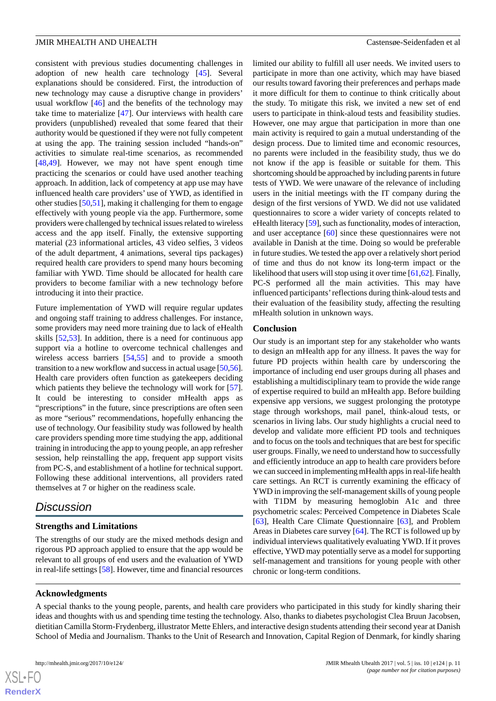consistent with previous studies documenting challenges in adoption of new health care technology [\[45](#page-13-10)]. Several explanations should be considered. First, the introduction of new technology may cause a disruptive change in providers' usual workflow [[46\]](#page-13-11) and the benefits of the technology may take time to materialize [[47\]](#page-13-12). Our interviews with health care providers (unpublished) revealed that some feared that their authority would be questioned if they were not fully competent at using the app. The training session included "hands-on" activities to simulate real-time scenarios, as recommended [[48](#page-13-13)[,49](#page-13-14)]. However, we may not have spent enough time practicing the scenarios or could have used another teaching approach. In addition, lack of competency at app use may have influenced health care providers' use of YWD, as identified in other studies [\[50](#page-13-15),[51\]](#page-13-16), making it challenging for them to engage effectively with young people via the app. Furthermore, some providers were challenged by technical issues related to wireless access and the app itself. Finally, the extensive supporting material (23 informational articles, 43 video selfies, 3 videos of the adult department, 4 animations, several tips packages) required health care providers to spend many hours becoming familiar with YWD. Time should be allocated for health care providers to become familiar with a new technology before introducing it into their practice.

Future implementation of YWD will require regular updates and ongoing staff training to address challenges. For instance, some providers may need more training due to lack of eHealth skills [\[52](#page-13-17),[53\]](#page-13-18). In addition, there is a need for continuous app support via a hotline to overcome technical challenges and wireless access barriers [\[54](#page-13-19),[55\]](#page-13-20) and to provide a smooth transition to a new workflow and success in actual usage [\[50,](#page-13-15)[56\]](#page-13-21). Health care providers often function as gatekeepers deciding which patients they believe the technology will work for [[57\]](#page-13-22). It could be interesting to consider mHealth apps as "prescriptions" in the future, since prescriptions are often seen as more "serious" recommendations, hopefully enhancing the use of technology. Our feasibility study was followed by health care providers spending more time studying the app, additional training in introducing the app to young people, an app refresher session, help reinstalling the app, frequent app support visits from PC-S, and establishment of a hotline for technical support. Following these additional interventions, all providers rated themselves at 7 or higher on the readiness scale.

# *Discussion*

#### **Strengths and Limitations**

The strengths of our study are the mixed methods design and rigorous PD approach applied to ensure that the app would be relevant to all groups of end users and the evaluation of YWD in real-life settings [\[58](#page-13-23)]. However, time and financial resources limited our ability to fulfill all user needs. We invited users to participate in more than one activity, which may have biased our results toward favoring their preferences and perhaps made it more difficult for them to continue to think critically about the study. To mitigate this risk, we invited a new set of end users to participate in think-aloud tests and feasibility studies. However, one may argue that participation in more than one main activity is required to gain a mutual understanding of the design process. Due to limited time and economic resources, no parents were included in the feasibility study, thus we do not know if the app is feasible or suitable for them. This shortcoming should be approached by including parents in future tests of YWD. We were unaware of the relevance of including users in the initial meetings with the IT company during the design of the first versions of YWD. We did not use validated questionnaires to score a wider variety of concepts related to eHealth literacy [\[59\]](#page-13-24), such as functionality, modes of interaction, and user acceptance [[60\]](#page-14-0) since these questionnaires were not available in Danish at the time. Doing so would be preferable in future studies. We tested the app over a relatively short period of time and thus do not know its long-term impact or the likelihood that users will stop using it over time [\[61](#page-14-1)[,62](#page-14-2)]. Finally, PC-S performed all the main activities. This may have influenced participants'reflections during think-aloud tests and their evaluation of the feasibility study, affecting the resulting mHealth solution in unknown ways.

#### **Conclusion**

Our study is an important step for any stakeholder who wants to design an mHealth app for any illness. It paves the way for future PD projects within health care by underscoring the importance of including end user groups during all phases and establishing a multidisciplinary team to provide the wide range of expertise required to build an mHealth app. Before building expensive app versions, we suggest prolonging the prototype stage through workshops, mail panel, think-aloud tests, or scenarios in living labs. Our study highlights a crucial need to develop and validate more efficient PD tools and techniques and to focus on the tools and techniques that are best for specific user groups. Finally, we need to understand how to successfully and efficiently introduce an app to health care providers before we can succeed in implementing mHealth apps in real-life health care settings. An RCT is currently examining the efficacy of YWD in improving the self-management skills of young people with T1DM by measuring hemoglobin A1c and three psychometric scales: Perceived Competence in Diabetes Scale [[63\]](#page-14-3), Health Care Climate Questionnaire [\[63](#page-14-3)], and Problem Areas in Diabetes care survey [[64\]](#page-14-4). The RCT is followed up by individual interviews qualitatively evaluating YWD. If it proves effective, YWD may potentially serve as a model for supporting self-management and transitions for young people with other chronic or long-term conditions.

#### **Acknowledgments**

A special thanks to the young people, parents, and health care providers who participated in this study for kindly sharing their ideas and thoughts with us and spending time testing the technology. Also, thanks to diabetes psychologist Clea Bruun Jacobsen, dietitian Camilla Storm-Frydenberg, illustrator Mette Ehlers, and interactive design students attending their second year at Danish School of Media and Journalism. Thanks to the Unit of Research and Innovation, Capital Region of Denmark, for kindly sharing

 $XS$  $\cdot$ FC **[RenderX](http://www.renderx.com/)**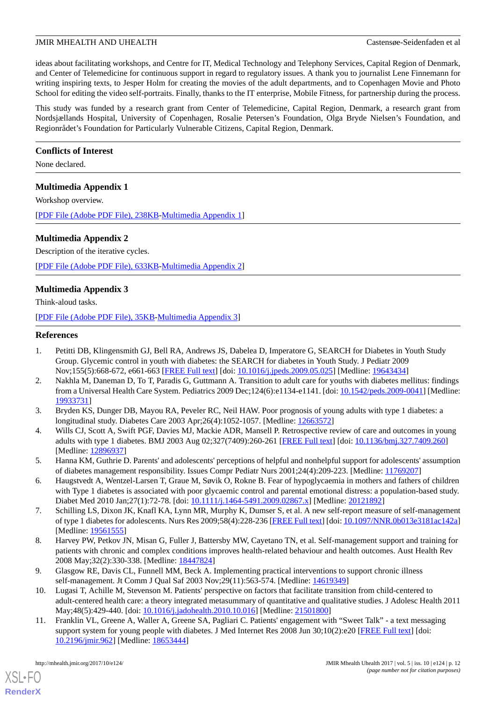ideas about facilitating workshops, and Centre for IT, Medical Technology and Telephony Services, Capital Region of Denmark, and Center of Telemedicine for continuous support in regard to regulatory issues. A thank you to journalist Lene Finnemann for writing inspiring texts, to Jesper Holm for creating the movies of the adult departments, and to Copenhagen Movie and Photo School for editing the video self-portraits. Finally, thanks to the IT enterprise, Mobile Fitness, for partnership during the process.

This study was funded by a research grant from Center of Telemedicine, Capital Region, Denmark, a research grant from Nordsjællands Hospital, University of Copenhagen, Rosalie Petersen's Foundation, Olga Bryde Nielsen's Foundation, and Regionrådet's Foundation for Particularly Vulnerable Citizens, Capital Region, Denmark.

# **Conflicts of Interest**

<span id="page-11-11"></span>None declared.

# **Multimedia Appendix 1**

Workshop overview.

<span id="page-11-12"></span>[[PDF File \(Adobe PDF File\), 238KB-Multimedia Appendix 1](https://jmir.org/api/download?alt_name=mhealth_v5i10e124_app1.pdf&filename=6254c9e2488df15c6637dd6121f3fc74.pdf)]

# **Multimedia Appendix 2**

Description of the iterative cycles.

<span id="page-11-13"></span>[[PDF File \(Adobe PDF File\), 633KB-Multimedia Appendix 2](https://jmir.org/api/download?alt_name=mhealth_v5i10e124_app2.pdf&filename=2358f613446e4745cac763d1d214ffa7.pdf)]

# **Multimedia Appendix 3**

Think-aloud tasks.

<span id="page-11-0"></span>[[PDF File \(Adobe PDF File\), 35KB-Multimedia Appendix 3](https://jmir.org/api/download?alt_name=mhealth_v5i10e124_app3.pdf&filename=bc5111cc24d2749fe56f0ed27256ccce.pdf)]

#### <span id="page-11-1"></span>**References**

- 1. Petitti DB, Klingensmith GJ, Bell RA, Andrews JS, Dabelea D, Imperatore G, SEARCH for Diabetes in Youth Study Group. Glycemic control in youth with diabetes: the SEARCH for diabetes in Youth Study. J Pediatr 2009 Nov;155(5):668-672, e661-663 [[FREE Full text](http://europepmc.org/abstract/MED/19643434)] [doi: [10.1016/j.jpeds.2009.05.025\]](http://dx.doi.org/10.1016/j.jpeds.2009.05.025) [Medline: [19643434](http://www.ncbi.nlm.nih.gov/entrez/query.fcgi?cmd=Retrieve&db=PubMed&list_uids=19643434&dopt=Abstract)]
- <span id="page-11-3"></span><span id="page-11-2"></span>2. Nakhla M, Daneman D, To T, Paradis G, Guttmann A. Transition to adult care for youths with diabetes mellitus: findings from a Universal Health Care System. Pediatrics 2009 Dec;124(6):e1134-e1141. [doi: [10.1542/peds.2009-0041\]](http://dx.doi.org/10.1542/peds.2009-0041) [Medline: [19933731](http://www.ncbi.nlm.nih.gov/entrez/query.fcgi?cmd=Retrieve&db=PubMed&list_uids=19933731&dopt=Abstract)]
- <span id="page-11-4"></span>3. Bryden KS, Dunger DB, Mayou RA, Peveler RC, Neil HAW. Poor prognosis of young adults with type 1 diabetes: a longitudinal study. Diabetes Care 2003 Apr;26(4):1052-1057. [Medline: [12663572\]](http://www.ncbi.nlm.nih.gov/entrez/query.fcgi?cmd=Retrieve&db=PubMed&list_uids=12663572&dopt=Abstract)
- <span id="page-11-5"></span>4. Wills CJ, Scott A, Swift PGF, Davies MJ, Mackie ADR, Mansell P. Retrospective review of care and outcomes in young adults with type 1 diabetes. BMJ 2003 Aug 02;327(7409):260-261 [[FREE Full text](http://europepmc.org/abstract/MED/12896937)] [doi: [10.1136/bmj.327.7409.260\]](http://dx.doi.org/10.1136/bmj.327.7409.260) [Medline: [12896937](http://www.ncbi.nlm.nih.gov/entrez/query.fcgi?cmd=Retrieve&db=PubMed&list_uids=12896937&dopt=Abstract)]
- <span id="page-11-6"></span>5. Hanna KM, Guthrie D. Parents' and adolescents' perceptions of helpful and nonhelpful support for adolescents' assumption of diabetes management responsibility. Issues Compr Pediatr Nurs 2001;24(4):209-223. [Medline: [11769207](http://www.ncbi.nlm.nih.gov/entrez/query.fcgi?cmd=Retrieve&db=PubMed&list_uids=11769207&dopt=Abstract)]
- <span id="page-11-7"></span>6. Haugstvedt A, Wentzel-Larsen T, Graue M, Søvik O, Rokne B. Fear of hypoglycaemia in mothers and fathers of children with Type 1 diabetes is associated with poor glycaemic control and parental emotional distress: a population-based study. Diabet Med 2010 Jan; 27(1): 72-78. [doi: [10.1111/j.1464-5491.2009.02867.x\]](http://dx.doi.org/10.1111/j.1464-5491.2009.02867.x) [Medline: [20121892](http://www.ncbi.nlm.nih.gov/entrez/query.fcgi?cmd=Retrieve&db=PubMed&list_uids=20121892&dopt=Abstract)]
- <span id="page-11-8"></span>7. Schilling LS, Dixon JK, Knafl KA, Lynn MR, Murphy K, Dumser S, et al. A new self-report measure of self-management of type 1 diabetes for adolescents. Nurs Res 2009;58(4):228-236 [[FREE Full text](http://europepmc.org/abstract/MED/19561555)] [doi: [10.1097/NNR.0b013e3181ac142a](http://dx.doi.org/10.1097/NNR.0b013e3181ac142a)] [Medline: [19561555](http://www.ncbi.nlm.nih.gov/entrez/query.fcgi?cmd=Retrieve&db=PubMed&list_uids=19561555&dopt=Abstract)]
- <span id="page-11-9"></span>8. Harvey PW, Petkov JN, Misan G, Fuller J, Battersby MW, Cayetano TN, et al. Self-management support and training for patients with chronic and complex conditions improves health-related behaviour and health outcomes. Aust Health Rev 2008 May;32(2):330-338. [Medline: [18447824\]](http://www.ncbi.nlm.nih.gov/entrez/query.fcgi?cmd=Retrieve&db=PubMed&list_uids=18447824&dopt=Abstract)
- <span id="page-11-10"></span>9. Glasgow RE, Davis CL, Funnell MM, Beck A. Implementing practical interventions to support chronic illness self-management. Jt Comm J Qual Saf 2003 Nov;29(11):563-574. [Medline: [14619349\]](http://www.ncbi.nlm.nih.gov/entrez/query.fcgi?cmd=Retrieve&db=PubMed&list_uids=14619349&dopt=Abstract)
- 10. Lugasi T, Achille M, Stevenson M. Patients' perspective on factors that facilitate transition from child-centered to adult-centered health care: a theory integrated metasummary of quantitative and qualitative studies. J Adolesc Health 2011 May;48(5):429-440. [doi: [10.1016/j.jadohealth.2010.10.016](http://dx.doi.org/10.1016/j.jadohealth.2010.10.016)] [Medline: [21501800](http://www.ncbi.nlm.nih.gov/entrez/query.fcgi?cmd=Retrieve&db=PubMed&list_uids=21501800&dopt=Abstract)]
- 11. Franklin VL, Greene A, Waller A, Greene SA, Pagliari C. Patients' engagement with "Sweet Talk" a text messaging support system for young people with diabetes. J Med Internet Res 2008 Jun 30;10(2):e20 [[FREE Full text](http://www.jmir.org/2008/2/e20/)] [doi: [10.2196/jmir.962](http://dx.doi.org/10.2196/jmir.962)] [Medline: [18653444](http://www.ncbi.nlm.nih.gov/entrez/query.fcgi?cmd=Retrieve&db=PubMed&list_uids=18653444&dopt=Abstract)]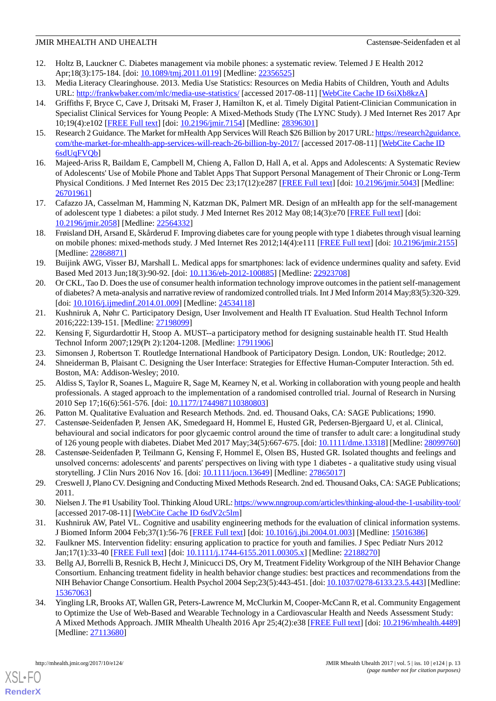- <span id="page-12-0"></span>12. Holtz B, Lauckner C. Diabetes management via mobile phones: a systematic review. Telemed J E Health 2012 Apr;18(3):175-184. [doi: [10.1089/tmj.2011.0119\]](http://dx.doi.org/10.1089/tmj.2011.0119) [Medline: [22356525](http://www.ncbi.nlm.nih.gov/entrez/query.fcgi?cmd=Retrieve&db=PubMed&list_uids=22356525&dopt=Abstract)]
- <span id="page-12-2"></span><span id="page-12-1"></span>13. Media Literacy Clearinghouse. 2013. Media Use Statistics: Resources on Media Habits of Children, Youth and Adults URL: <http://frankwbaker.com/mlc/media-use-statistics/> [accessed 2017-08-11] [[WebCite Cache ID 6siXb8kzA\]](http://www.webcitation.org/

                                6siXb8kzA)
- 14. Griffiths F, Bryce C, Cave J, Dritsaki M, Fraser J, Hamilton K, et al. Timely Digital Patient-Clinician Communication in Specialist Clinical Services for Young People: A Mixed-Methods Study (The LYNC Study). J Med Internet Res 2017 Apr 10;19(4):e102 [\[FREE Full text](http://www.jmir.org/2017/4/e102/)] [doi: [10.2196/jmir.7154](http://dx.doi.org/10.2196/jmir.7154)] [Medline: [28396301](http://www.ncbi.nlm.nih.gov/entrez/query.fcgi?cmd=Retrieve&db=PubMed&list_uids=28396301&dopt=Abstract)]
- <span id="page-12-4"></span><span id="page-12-3"></span>15. Research 2 Guidance. The Market for mHealth App Services Will Reach \$26 Billion by 2017 URL: [https://research2guidance.](https://research2guidance.com/the-market-for-mhealth-app-services-will-reach-26-billion-by-2017/) [com/the-market-for-mhealth-app-services-will-reach-26-billion-by-2017/](https://research2guidance.com/the-market-for-mhealth-app-services-will-reach-26-billion-by-2017/) [accessed 2017-08-11] [[WebCite Cache ID](http://www.webcitation.org/

                                6sdUqFVQb) [6sdUqFVQb\]](http://www.webcitation.org/

                                6sdUqFVQb)
- 16. Majeed-Ariss R, Baildam E, Campbell M, Chieng A, Fallon D, Hall A, et al. Apps and Adolescents: A Systematic Review of Adolescents' Use of Mobile Phone and Tablet Apps That Support Personal Management of Their Chronic or Long-Term Physical Conditions. J Med Internet Res 2015 Dec 23;17(12):e287 [[FREE Full text](http://www.jmir.org/2015/12/e287/)] [doi: [10.2196/jmir.5043](http://dx.doi.org/10.2196/jmir.5043)] [Medline: [26701961](http://www.ncbi.nlm.nih.gov/entrez/query.fcgi?cmd=Retrieve&db=PubMed&list_uids=26701961&dopt=Abstract)]
- <span id="page-12-6"></span><span id="page-12-5"></span>17. Cafazzo JA, Casselman M, Hamming N, Katzman DK, Palmert MR. Design of an mHealth app for the self-management of adolescent type 1 diabetes: a pilot study. J Med Internet Res 2012 May 08;14(3):e70 [\[FREE Full text\]](http://www.jmir.org/2012/3/e70/) [doi: [10.2196/jmir.2058](http://dx.doi.org/10.2196/jmir.2058)] [Medline: [22564332](http://www.ncbi.nlm.nih.gov/entrez/query.fcgi?cmd=Retrieve&db=PubMed&list_uids=22564332&dopt=Abstract)]
- <span id="page-12-7"></span>18. Frøisland DH, Arsand E, Skårderud F. Improving diabetes care for young people with type 1 diabetes through visual learning on mobile phones: mixed-methods study. J Med Internet Res 2012;14(4):e111 [\[FREE Full text\]](http://www.jmir.org/2012/4/e111/) [doi: [10.2196/jmir.2155\]](http://dx.doi.org/10.2196/jmir.2155) [Medline: [22868871](http://www.ncbi.nlm.nih.gov/entrez/query.fcgi?cmd=Retrieve&db=PubMed&list_uids=22868871&dopt=Abstract)]
- <span id="page-12-8"></span>19. Buijink AWG, Visser BJ, Marshall L. Medical apps for smartphones: lack of evidence undermines quality and safety. Evid Based Med 2013 Jun;18(3):90-92. [doi: [10.1136/eb-2012-100885](http://dx.doi.org/10.1136/eb-2012-100885)] [Medline: [22923708\]](http://www.ncbi.nlm.nih.gov/entrez/query.fcgi?cmd=Retrieve&db=PubMed&list_uids=22923708&dopt=Abstract)
- <span id="page-12-9"></span>20. Or CKL, Tao D. Does the use of consumer health information technology improve outcomes in the patient self-management of diabetes? A meta-analysis and narrative review of randomized controlled trials. Int J Med Inform 2014 May;83(5):320-329. [doi: [10.1016/j.ijmedinf.2014.01.009\]](http://dx.doi.org/10.1016/j.ijmedinf.2014.01.009) [Medline: [24534118\]](http://www.ncbi.nlm.nih.gov/entrez/query.fcgi?cmd=Retrieve&db=PubMed&list_uids=24534118&dopt=Abstract)
- <span id="page-12-11"></span><span id="page-12-10"></span>21. Kushniruk A, Nøhr C. Participatory Design, User Involvement and Health IT Evaluation. Stud Health Technol Inform 2016;222:139-151. [Medline: [27198099](http://www.ncbi.nlm.nih.gov/entrez/query.fcgi?cmd=Retrieve&db=PubMed&list_uids=27198099&dopt=Abstract)]
- <span id="page-12-12"></span>22. Kensing F, Sigurdardottir H, Stoop A. MUST--a participatory method for designing sustainable health IT. Stud Health Technol Inform 2007;129(Pt 2):1204-1208. [Medline: [17911906\]](http://www.ncbi.nlm.nih.gov/entrez/query.fcgi?cmd=Retrieve&db=PubMed&list_uids=17911906&dopt=Abstract)
- <span id="page-12-13"></span>23. Simonsen J, Robertson T. Routledge International Handbook of Participatory Design. London, UK: Routledge; 2012.
- <span id="page-12-14"></span>24. Shneiderman B, Plaisant C. Designing the User Interface: Strategies for Effective Human-Computer Interaction. 5th ed. Boston, MA: Addison-Wesley; 2010.
- <span id="page-12-15"></span>25. Aldiss S, Taylor R, Soanes L, Maguire R, Sage M, Kearney N, et al. Working in collaboration with young people and health professionals. A staged approach to the implementation of a randomised controlled trial. Journal of Research in Nursing 2010 Sep 17;16(6):561-576. [doi: [10.1177/1744987110380803\]](http://dx.doi.org/10.1177/1744987110380803)
- <span id="page-12-16"></span>26. Patton M. Qualitative Evaluation and Research Methods. 2nd. ed. Thousand Oaks, CA: SAGE Publications; 1990.
- <span id="page-12-17"></span>27. Castensøe-Seidenfaden P, Jensen AK, Smedegaard H, Hommel E, Husted GR, Pedersen-Bjergaard U, et al. Clinical, behavioural and social indicators for poor glycaemic control around the time of transfer to adult care: a longitudinal study of 126 young people with diabetes. Diabet Med 2017 May;34(5):667-675. [doi: [10.1111/dme.13318](http://dx.doi.org/10.1111/dme.13318)] [Medline: [28099760](http://www.ncbi.nlm.nih.gov/entrez/query.fcgi?cmd=Retrieve&db=PubMed&list_uids=28099760&dopt=Abstract)]
- <span id="page-12-18"></span>28. Castensøe-Seidenfaden P, Teilmann G, Kensing F, Hommel E, Olsen BS, Husted GR. Isolated thoughts and feelings and unsolved concerns: adolescents' and parents' perspectives on living with type 1 diabetes - a qualitative study using visual storytelling. J Clin Nurs 2016 Nov 16. [doi: [10.1111/jocn.13649\]](http://dx.doi.org/10.1111/jocn.13649) [Medline: [27865017](http://www.ncbi.nlm.nih.gov/entrez/query.fcgi?cmd=Retrieve&db=PubMed&list_uids=27865017&dopt=Abstract)]
- <span id="page-12-20"></span><span id="page-12-19"></span>29. Creswell J, Plano CV. Designing and Conducting Mixed Methods Research. 2nd ed. Thousand Oaks, CA: SAGE Publications; 2011.
- <span id="page-12-21"></span>30. Nielsen J. The #1 Usability Tool. Thinking Aloud URL:<https://www.nngroup.com/articles/thinking-aloud-the-1-usability-tool/> [accessed 2017-08-11] [\[WebCite Cache ID 6sdV2c5lm](http://www.webcitation.org/

                                6sdV2c5lm)]
- 31. Kushniruk AW, Patel VL. Cognitive and usability engineering methods for the evaluation of clinical information systems. J Biomed Inform 2004 Feb;37(1):56-76 [\[FREE Full text\]](https://linkinghub.elsevier.com/retrieve/pii/S1532046404000206) [doi: [10.1016/j.jbi.2004.01.003](http://dx.doi.org/10.1016/j.jbi.2004.01.003)] [Medline: [15016386](http://www.ncbi.nlm.nih.gov/entrez/query.fcgi?cmd=Retrieve&db=PubMed&list_uids=15016386&dopt=Abstract)]
- <span id="page-12-22"></span>32. Faulkner MS. Intervention fidelity: ensuring application to practice for youth and families. J Spec Pediatr Nurs 2012 Jan;17(1):33-40 [\[FREE Full text\]](http://europepmc.org/abstract/MED/22188270) [doi: [10.1111/j.1744-6155.2011.00305.x](http://dx.doi.org/10.1111/j.1744-6155.2011.00305.x)] [Medline: [22188270](http://www.ncbi.nlm.nih.gov/entrez/query.fcgi?cmd=Retrieve&db=PubMed&list_uids=22188270&dopt=Abstract)]
- 33. Bellg AJ, Borrelli B, Resnick B, Hecht J, Minicucci DS, Ory M, Treatment Fidelity Workgroup of the NIH Behavior Change Consortium. Enhancing treatment fidelity in health behavior change studies: best practices and recommendations from the NIH Behavior Change Consortium. Health Psychol 2004 Sep;23(5):443-451. [doi: [10.1037/0278-6133.23.5.443](http://dx.doi.org/10.1037/0278-6133.23.5.443)] [Medline: [15367063](http://www.ncbi.nlm.nih.gov/entrez/query.fcgi?cmd=Retrieve&db=PubMed&list_uids=15367063&dopt=Abstract)]
- 34. Yingling LR, Brooks AT, Wallen GR, Peters-Lawrence M, McClurkin M, Cooper-McCann R, et al. Community Engagement to Optimize the Use of Web-Based and Wearable Technology in a Cardiovascular Health and Needs Assessment Study: A Mixed Methods Approach. JMIR Mhealth Uhealth 2016 Apr 25;4(2):e38 [[FREE Full text\]](http://mhealth.jmir.org/2016/2/e38/) [doi: [10.2196/mhealth.4489](http://dx.doi.org/10.2196/mhealth.4489)] [Medline: [27113680](http://www.ncbi.nlm.nih.gov/entrez/query.fcgi?cmd=Retrieve&db=PubMed&list_uids=27113680&dopt=Abstract)]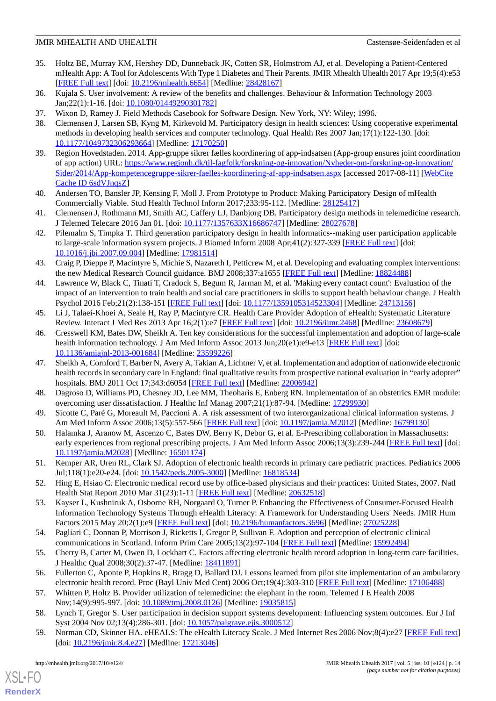- <span id="page-13-0"></span>35. Holtz BE, Murray KM, Hershey DD, Dunneback JK, Cotten SR, Holmstrom AJ, et al. Developing a Patient-Centered mHealth App: A Tool for Adolescents With Type 1 Diabetes and Their Parents. JMIR Mhealth Uhealth 2017 Apr 19;5(4):e53 [[FREE Full text](http://mhealth.jmir.org/2017/4/e53/)] [doi: [10.2196/mhealth.6654\]](http://dx.doi.org/10.2196/mhealth.6654) [Medline: [28428167](http://www.ncbi.nlm.nih.gov/entrez/query.fcgi?cmd=Retrieve&db=PubMed&list_uids=28428167&dopt=Abstract)]
- <span id="page-13-2"></span><span id="page-13-1"></span>36. Kujala S. User involvement: A review of the benefits and challenges. Behaviour & Information Technology 2003 Jan;22(1):1-16. [doi: [10.1080/01449290301782](http://dx.doi.org/10.1080/01449290301782)]
- <span id="page-13-3"></span>37. Wixon D, Ramey J. Field Methods Casebook for Software Design. New York, NY: Wiley; 1996.
- 38. Clemensen J, Larsen SB, Kyng M, Kirkevold M. Participatory design in health sciences: Using cooperative experimental methods in developing health services and computer technology. Qual Health Res 2007 Jan;17(1):122-130. [doi: [10.1177/1049732306293664\]](http://dx.doi.org/10.1177/1049732306293664) [Medline: [17170250\]](http://www.ncbi.nlm.nih.gov/entrez/query.fcgi?cmd=Retrieve&db=PubMed&list_uids=17170250&dopt=Abstract)
- <span id="page-13-4"></span>39. Region Hovedstaden. 2014. App-gruppe sikrer fælles koordinering of app-indsatsen (App-group ensures joint coordination of app action) URL: [https://www.regionh.dk/til-fagfolk/forskning-og-innovation/Nyheder-om-forskning-og-innovation/](https://www.regionh.dk/til-fagfolk/forskning-og-innovation/Nyheder-om-forskning-og-innovation/Sider/2014/App-kompetencegruppe-sikrer-faelles-koordinering-af-app-indsatsen.aspx) [Sider/2014/App-kompetencegruppe-sikrer-faelles-koordinering-af-app-indsatsen.aspx](https://www.regionh.dk/til-fagfolk/forskning-og-innovation/Nyheder-om-forskning-og-innovation/Sider/2014/App-kompetencegruppe-sikrer-faelles-koordinering-af-app-indsatsen.aspx) [accessed 2017-08-11] [\[WebCite](http://www.webcitation.org/

                                6sdVJnqsZ) [Cache ID 6sdVJnqsZ](http://www.webcitation.org/

                                6sdVJnqsZ)]
- <span id="page-13-6"></span><span id="page-13-5"></span>40. Andersen TO, Bansler JP, Kensing F, Moll J. From Prototype to Product: Making Participatory Design of mHealth Commercially Viable. Stud Health Technol Inform 2017;233:95-112. [Medline: [28125417\]](http://www.ncbi.nlm.nih.gov/entrez/query.fcgi?cmd=Retrieve&db=PubMed&list_uids=28125417&dopt=Abstract)
- <span id="page-13-7"></span>41. Clemensen J, Rothmann MJ, Smith AC, Caffery LJ, Danbjorg DB. Participatory design methods in telemedicine research. J Telemed Telecare 2016 Jan 01. [doi: [10.1177/1357633X16686747](http://dx.doi.org/10.1177/1357633X16686747)] [Medline: [28027678\]](http://www.ncbi.nlm.nih.gov/entrez/query.fcgi?cmd=Retrieve&db=PubMed&list_uids=28027678&dopt=Abstract)
- <span id="page-13-8"></span>42. Pilemalm S, Timpka T. Third generation participatory design in health informatics--making user participation applicable to large-scale information system projects. J Biomed Inform 2008 Apr;41(2):327-339 [\[FREE Full text\]](https://linkinghub.elsevier.com/retrieve/pii/S1532-0464(07)00106-2) [doi: [10.1016/j.jbi.2007.09.004](http://dx.doi.org/10.1016/j.jbi.2007.09.004)] [Medline: [17981514\]](http://www.ncbi.nlm.nih.gov/entrez/query.fcgi?cmd=Retrieve&db=PubMed&list_uids=17981514&dopt=Abstract)
- <span id="page-13-9"></span>43. Craig P, Dieppe P, Macintyre S, Michie S, Nazareth I, Petticrew M, et al. Developing and evaluating complex interventions: the new Medical Research Council guidance. BMJ 2008;337:a1655 [[FREE Full text](http://europepmc.org/abstract/MED/18824488)] [Medline: [18824488\]](http://www.ncbi.nlm.nih.gov/entrez/query.fcgi?cmd=Retrieve&db=PubMed&list_uids=18824488&dopt=Abstract)
- <span id="page-13-10"></span>44. Lawrence W, Black C, Tinati T, Cradock S, Begum R, Jarman M, et al. 'Making every contact count': Evaluation of the impact of an intervention to train health and social care practitioners in skills to support health behaviour change. J Health Psychol 2016 Feb;21(2):138-151 [[FREE Full text\]](http://europepmc.org/abstract/MED/24713156) [doi: [10.1177/1359105314523304\]](http://dx.doi.org/10.1177/1359105314523304) [Medline: [24713156](http://www.ncbi.nlm.nih.gov/entrez/query.fcgi?cmd=Retrieve&db=PubMed&list_uids=24713156&dopt=Abstract)]
- <span id="page-13-11"></span>45. Li J, Talaei-Khoei A, Seale H, Ray P, Macintyre CR. Health Care Provider Adoption of eHealth: Systematic Literature Review. Interact J Med Res 2013 Apr 16;2(1):e7 [[FREE Full text](http://www.i-jmr.org/2013/1/e7/)] [doi: [10.2196/ijmr.2468](http://dx.doi.org/10.2196/ijmr.2468)] [Medline: [23608679](http://www.ncbi.nlm.nih.gov/entrez/query.fcgi?cmd=Retrieve&db=PubMed&list_uids=23608679&dopt=Abstract)]
- <span id="page-13-12"></span>46. Cresswell KM, Bates DW, Sheikh A. Ten key considerations for the successful implementation and adoption of large-scale health information technology. J Am Med Inform Assoc 2013 Jun;20(e1):e9-e13 [[FREE Full text](http://europepmc.org/abstract/MED/23599226)] [doi: [10.1136/amiajnl-2013-001684](http://dx.doi.org/10.1136/amiajnl-2013-001684)] [Medline: [23599226](http://www.ncbi.nlm.nih.gov/entrez/query.fcgi?cmd=Retrieve&db=PubMed&list_uids=23599226&dopt=Abstract)]
- <span id="page-13-14"></span><span id="page-13-13"></span>47. Sheikh A, Cornford T, Barber N, Avery A, Takian A, Lichtner V, et al. Implementation and adoption of nationwide electronic health records in secondary care in England: final qualitative results from prospective national evaluation in "early adopter" hospitals. BMJ 2011 Oct 17;343:d6054 [[FREE Full text](http://europepmc.org/abstract/MED/22006942)] [Medline: [22006942](http://www.ncbi.nlm.nih.gov/entrez/query.fcgi?cmd=Retrieve&db=PubMed&list_uids=22006942&dopt=Abstract)]
- <span id="page-13-15"></span>48. Dagroso D, Williams PD, Chesney JD, Lee MM, Theoharis E, Enberg RN. Implementation of an obstetrics EMR module: overcoming user dissatisfaction. J Healthc Inf Manag 2007;21(1):87-94. [Medline: [17299930\]](http://www.ncbi.nlm.nih.gov/entrez/query.fcgi?cmd=Retrieve&db=PubMed&list_uids=17299930&dopt=Abstract)
- <span id="page-13-16"></span>49. Sicotte C, Paré G, Moreault M, Paccioni A. A risk assessment of two interorganizational clinical information systems. J Am Med Inform Assoc 2006;13(5):557-566 [\[FREE Full text\]](http://europepmc.org/abstract/MED/16799130) [doi: [10.1197/jamia.M2012\]](http://dx.doi.org/10.1197/jamia.M2012) [Medline: [16799130\]](http://www.ncbi.nlm.nih.gov/entrez/query.fcgi?cmd=Retrieve&db=PubMed&list_uids=16799130&dopt=Abstract)
- <span id="page-13-17"></span>50. Halamka J, Aranow M, Ascenzo C, Bates DW, Berry K, Debor G, et al. E-Prescribing collaboration in Massachusetts: early experiences from regional prescribing projects. J Am Med Inform Assoc 2006;13(3):239-244 [[FREE Full text](http://europepmc.org/abstract/MED/16501174)] [doi: [10.1197/jamia.M2028](http://dx.doi.org/10.1197/jamia.M2028)] [Medline: [16501174](http://www.ncbi.nlm.nih.gov/entrez/query.fcgi?cmd=Retrieve&db=PubMed&list_uids=16501174&dopt=Abstract)]
- <span id="page-13-18"></span>51. Kemper AR, Uren RL, Clark SJ. Adoption of electronic health records in primary care pediatric practices. Pediatrics 2006 Jul;118(1):e20-e24. [doi: [10.1542/peds.2005-3000](http://dx.doi.org/10.1542/peds.2005-3000)] [Medline: [16818534](http://www.ncbi.nlm.nih.gov/entrez/query.fcgi?cmd=Retrieve&db=PubMed&list_uids=16818534&dopt=Abstract)]
- <span id="page-13-19"></span>52. Hing E, Hsiao C. Electronic medical record use by office-based physicians and their practices: United States, 2007. Natl Health Stat Report 2010 Mar 31(23):1-11 [[FREE Full text](https://www.cdc.gov/nchs/data/nhsr/nhsr023.pdf)] [Medline: [20632518\]](http://www.ncbi.nlm.nih.gov/entrez/query.fcgi?cmd=Retrieve&db=PubMed&list_uids=20632518&dopt=Abstract)
- <span id="page-13-21"></span><span id="page-13-20"></span>53. Kayser L, Kushniruk A, Osborne RH, Norgaard O, Turner P. Enhancing the Effectiveness of Consumer-Focused Health Information Technology Systems Through eHealth Literacy: A Framework for Understanding Users' Needs. JMIR Hum Factors 2015 May 20;2(1):e9 [\[FREE Full text\]](http://humanfactors.jmir.org/2015/1/e9/) [doi: [10.2196/humanfactors.3696\]](http://dx.doi.org/10.2196/humanfactors.3696) [Medline: [27025228\]](http://www.ncbi.nlm.nih.gov/entrez/query.fcgi?cmd=Retrieve&db=PubMed&list_uids=27025228&dopt=Abstract)
- <span id="page-13-22"></span>54. Pagliari C, Donnan P, Morrison J, Ricketts I, Gregor P, Sullivan F. Adoption and perception of electronic clinical communications in Scotland. Inform Prim Care 2005;13(2):97-104 [\[FREE Full text\]](http://hijournal.bcs.org/index.php/jhi/article/view/586) [Medline: [15992494\]](http://www.ncbi.nlm.nih.gov/entrez/query.fcgi?cmd=Retrieve&db=PubMed&list_uids=15992494&dopt=Abstract)
- <span id="page-13-23"></span>55. Cherry B, Carter M, Owen D, Lockhart C. Factors affecting electronic health record adoption in long-term care facilities. J Healthc Qual 2008;30(2):37-47. [Medline: [18411891\]](http://www.ncbi.nlm.nih.gov/entrez/query.fcgi?cmd=Retrieve&db=PubMed&list_uids=18411891&dopt=Abstract)
- <span id="page-13-24"></span>56. Fullerton C, Aponte P, Hopkins R, Bragg D, Ballard DJ. Lessons learned from pilot site implementation of an ambulatory electronic health record. Proc (Bayl Univ Med Cent) 2006 Oct;19(4):303-310 [[FREE Full text](http://europepmc.org/abstract/MED/17106488)] [Medline: [17106488\]](http://www.ncbi.nlm.nih.gov/entrez/query.fcgi?cmd=Retrieve&db=PubMed&list_uids=17106488&dopt=Abstract)
- 57. Whitten P, Holtz B. Provider utilization of telemedicine: the elephant in the room. Telemed J E Health 2008 Nov;14(9):995-997. [doi: [10.1089/tmj.2008.0126](http://dx.doi.org/10.1089/tmj.2008.0126)] [Medline: [19035815\]](http://www.ncbi.nlm.nih.gov/entrez/query.fcgi?cmd=Retrieve&db=PubMed&list_uids=19035815&dopt=Abstract)
- 58. Lynch T, Gregor S. User participation in decision support systems development: Influencing system outcomes. Eur J Inf Syst 2004 Nov 02;13(4):286-301. [doi: [10.1057/palgrave.ejis.3000512](http://dx.doi.org/10.1057/palgrave.ejis.3000512)]
- 59. Norman CD, Skinner HA. eHEALS: The eHealth Literacy Scale. J Med Internet Res 2006 Nov;8(4):e27 [\[FREE Full text](http://www.jmir.org/2006/4/e27/)] [doi: [10.2196/jmir.8.4.e27](http://dx.doi.org/10.2196/jmir.8.4.e27)] [Medline: [17213046](http://www.ncbi.nlm.nih.gov/entrez/query.fcgi?cmd=Retrieve&db=PubMed&list_uids=17213046&dopt=Abstract)]